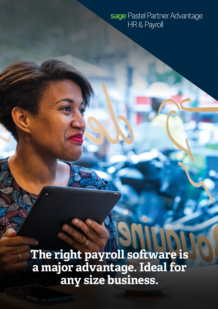## sage Pastel Partner Advantage HR & Payroll

**The right payroll software is a major advantage. Ideal for any size business.**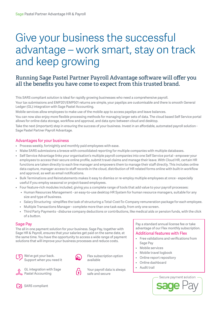# Give your business the successful advantage – work smart, stay on track and keep growing

### Running Sage Pastel Partner Payroll Advantage software will offer you all the benefits you have come to expect from this trusted brand.

This SARS compliant solution is ideal for rapidly growing businesses who need a comprehensive payroll.

Your tax submissions and EMP201/EMP501 returns are simple, your payslips are customisable and there is smooth General Ledger (GL) integration with Sage Pastel Accounting.

Mobile services allow employees to make use of the mobile app to access payslips and leave balances.

You can now also enjoy more flexible processing methods for managing larger sets of data. The cloud based Self Service portal allows for online data storage, workflow and approval, and data sync between cloud and desktop.

Take the next (important) step in ensuring the success of your business. Invest in an affordable, automated payroll solution - Sage Pastel Partner Payroll Advantage.

#### Advantages for your business

- Process weekly, fortnightly and monthly paid employees with ease.
- Make SARS submissions a breeze with consolidated reporting for multiple companies with multiple databases.
- Self Service Advantage links your organisation's multiple payroll companies into one Self Service portal empower your employees to access their secure online profile, submit travel claims and manage their leave. With Cloud HR, certain HR functions are taken directly to each line manager and empowers them to manage their staff directly. This includes online data capture, manager access to staff records in the cloud, distribution of HR related forms online with built-in workflow and approval, as well as email notifications.
- Bulk Terminations and Reinstatements makes it easy to dismiss or re-employ multiple employees at once especially useful if you employ seasonal or project-based employees.
- Four feature-rich modules included, giving you a complete range of tools that add value to your payroll processes:
	- Human Resources Management an easy-to-use desktop HR System for human resource managers, suitable for any size and type of business.
	- Salary Structuring simplifies the task of structuring a Total-Cost-To-Company remuneration package for each employee.
	- Multiple Transactions Manager complete more than one task easily, from only one screen.
	- Third Party Payments disburse company deductions or contributions, like medical aids or pension funds, with the click of a button.

#### Sage Pay

The all in one payment solution for your business. Sage Pay, together with Sage HR & Payroll, ensures that your salaries get paid on the same date, at the same time. You have the opportunity to access a wide range of payment solutions that will improve your business processes and reduce costs.



We've got your back. Support when you need it



GL integration with Sage Pastel Accounting



Flex subscription option available

Your payroll data is always safe and secure

Pay a standard annual license fee or take advantage of our Flex monthly subscription. Additional features with Flex

- Free validations and verifications from Sage Pay
- Mobile services
- Mobile travel logbook
- Online report repository
- Online dashboard
- Audit trail





**N** SARS compliant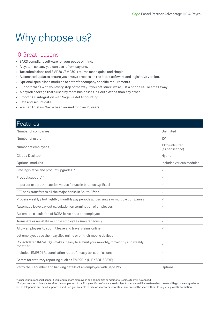# Why choose us?

### 10 Great reasons

- SARS compliant software for your peace of mind.
- A system so easy you can use it from day one.
- Tax submissions and EMP201/EMP501 returns made quick and simple.
- Automated updates ensure you always process on the latest software and legislative version.
- Optional specialised modules to cater for company specific requirements.
- Support that's with you every step of the way. If you get stuck, we're just a phone call or email away.
- A payroll package that's used by more businesses in South Africa than any other.
- Smooth GL integration with Sage Pastel Accounting.
- Safe and secure data.
- You can trust us. We've been around for over 25 years.

| <b>Features</b>                                                                                   |                                     |
|---------------------------------------------------------------------------------------------------|-------------------------------------|
| Number of companies                                                                               | Unlimited                           |
| Number of users                                                                                   | $10*$                               |
| Number of employees                                                                               | 10 to unlimited<br>(as per licence) |
| Cloud / Desktop                                                                                   | Hybrid                              |
| Optional modules                                                                                  | Includes various modules            |
| Free legislative and product upgrades**                                                           | ✓                                   |
| Product support**                                                                                 | ✓                                   |
| Import or export transaction values for use in batches e.g. Excel                                 | ✓                                   |
| EFT bank transfers to all the major banks in South Africa                                         | ✓                                   |
| Process weekly / fortnightly / monthly pay periods across single or multiple companies            | ✓                                   |
| Automatic leave pay out calculation on termination of employees                                   | ✓                                   |
| Automatic calculation of BCEA leave rates per employee                                            | ✓                                   |
| Terminate or reinstate multiple employees simultaneously                                          | ✓                                   |
| Allow employees to submit leave and travel claims online                                          | ✓                                   |
| Let employees see their payslips online or on their mobile devices                                | ✓                                   |
| Consolidated IRP5/IT3(a) makes it easy to submit your monthly, fortnightly and weekly<br>together | ✓                                   |
| Included: EMP501 Reconciliation report for easy tax submissions                                   | ✓                                   |
| Caters for statutory reporting such as EMP201s (UIF / SDL / PAYE)                                 | ✓                                   |
| Verify the ID number and banking details of an employee with Sage Pay                             | Optional                            |

\*As per your purchased licence. If you require more employees and companies or additional users, a fee will be applied.

\*\*Subject to annual license fee after the completion of the first year. Our software is sold subject to an annual license fee which covers all legislative upgrades as well as telephonic and email support. In addition, you are able to take on year-to-date totals, at any time of the year, without losing vital payroll information.